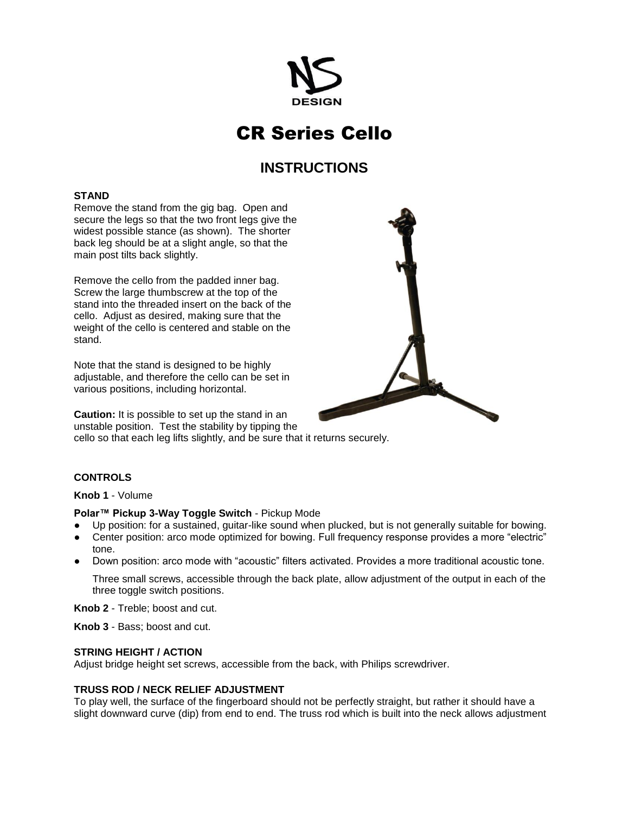

# CR Series Cello

# **INSTRUCTIONS**

#### **STAND**

Remove the stand from the gig bag. Open and secure the legs so that the two front legs give the widest possible stance (as shown). The shorter back leg should be at a slight angle, so that the main post tilts back slightly.

Remove the cello from the padded inner bag. Screw the large thumbscrew at the top of the stand into the threaded insert on the back of the cello. Adjust as desired, making sure that the weight of the cello is centered and stable on the stand.

Note that the stand is designed to be highly adjustable, and therefore the cello can be set in various positions, including horizontal.

**Caution:** It is possible to set up the stand in an unstable position. Test the stability by tipping the cello so that each leg lifts slightly, and be sure that it returns securely.

# **CONTROLS**

**Knob 1** - Volume

### **Polar™ Pickup 3-Way Toggle Switch** - Pickup Mode

- Up position: for a sustained, guitar-like sound when plucked, but is not generally suitable for bowing.
- Center position: arco mode optimized for bowing. Full frequency response provides a more "electric" tone.
- Down position: arco mode with "acoustic" filters activated. Provides a more traditional acoustic tone.

Three small screws, accessible through the back plate, allow adjustment of the output in each of the three toggle switch positions.

**Knob 2** - Treble; boost and cut.

**Knob 3** - Bass; boost and cut.

#### **STRING HEIGHT / ACTION**

Adjust bridge height set screws, accessible from the back, with Philips screwdriver.

#### **TRUSS ROD / NECK RELIEF ADJUSTMENT**

To play well, the surface of the fingerboard should not be perfectly straight, but rather it should have a slight downward curve (dip) from end to end. The truss rod which is built into the neck allows adjustment

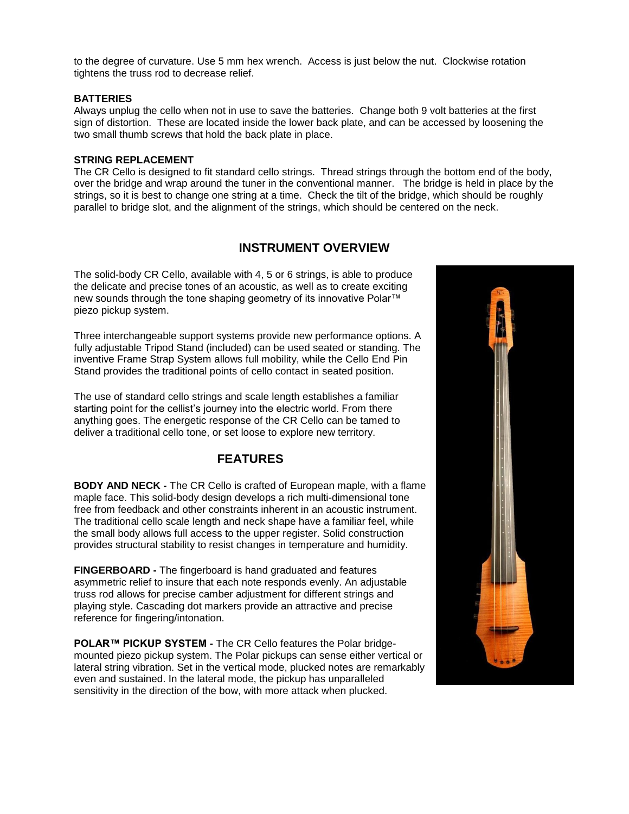to the degree of curvature. Use 5 mm hex wrench. Access is just below the nut. Clockwise rotation tightens the truss rod to decrease relief.

#### **BATTERIES**

Always unplug the cello when not in use to save the batteries. Change both 9 volt batteries at the first sign of distortion. These are located inside the lower back plate, and can be accessed by loosening the two small thumb screws that hold the back plate in place.

#### **STRING REPLACEMENT**

The CR Cello is designed to fit standard cello strings. Thread strings through the bottom end of the body, over the bridge and wrap around the tuner in the conventional manner. The bridge is held in place by the strings, so it is best to change one string at a time. Check the tilt of the bridge, which should be roughly parallel to bridge slot, and the alignment of the strings, which should be centered on the neck.

# **INSTRUMENT OVERVIEW**

The solid-body CR Cello, available with 4, 5 or 6 strings, is able to produce the delicate and precise tones of an acoustic, as well as to create exciting new sounds through the tone shaping geometry of its innovative Polar™ piezo pickup system.

Three interchangeable support systems provide new performance options. A fully adjustable Tripod Stand (included) can be used seated or standing. The inventive Frame Strap System allows full mobility, while the Cello End Pin Stand provides the traditional points of cello contact in seated position.

The use of standard cello strings and scale length establishes a familiar starting point for the cellist's journey into the electric world. From there anything goes. The energetic response of the CR Cello can be tamed to deliver a traditional cello tone, or set loose to explore new territory.

# **FEATURES**

**BODY AND NECK -** The CR Cello is crafted of European maple, with a flame maple face. This solid-body design develops a rich multi-dimensional tone free from feedback and other constraints inherent in an acoustic instrument. The traditional cello scale length and neck shape have a familiar feel, while the small body allows full access to the upper register. Solid construction provides structural stability to resist changes in temperature and humidity.

**FINGERBOARD -** The fingerboard is hand graduated and features asymmetric relief to insure that each note responds evenly. An adjustable truss rod allows for precise camber adjustment for different strings and playing style. Cascading dot markers provide an attractive and precise reference for fingering/intonation.

**POLAR™ PICKUP SYSTEM -** The CR Cello features the Polar bridgemounted piezo pickup system. The Polar pickups can sense either vertical or lateral string vibration. Set in the vertical mode, plucked notes are remarkably even and sustained. In the lateral mode, the pickup has unparalleled sensitivity in the direction of the bow, with more attack when plucked.